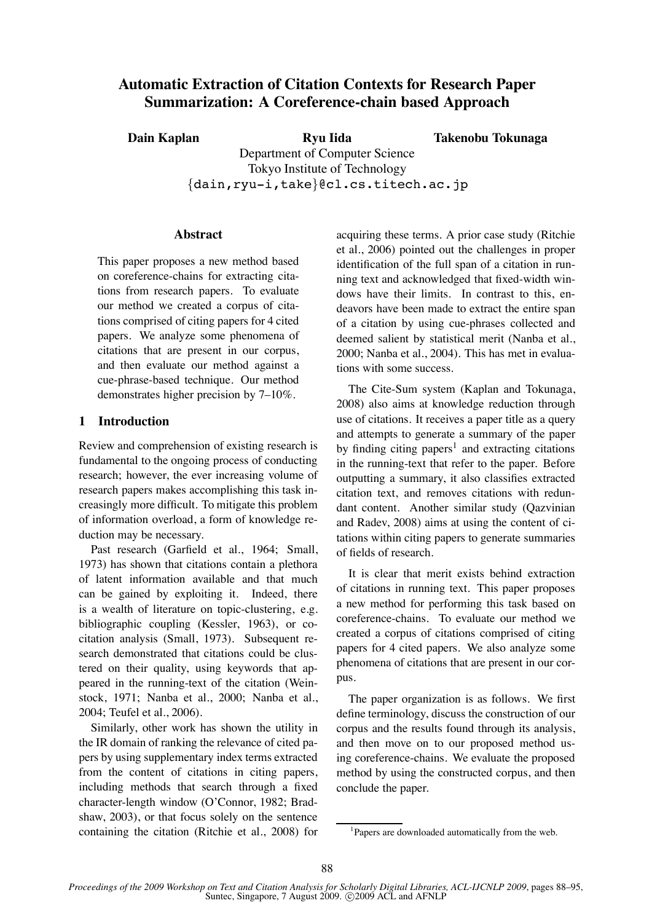# **Automatic Extraction of Citation Contexts for Research Paper Summarization: A Coreference-chain based Approach**

**Dain Kaplan Ryu Iida** Department of Computer Science Tokyo Institute of Technology *{*dain,ryu-i,take*}*@cl.cs.titech.ac.jp **Takenobu Tokunaga**

# **Abstract**

This paper proposes a new method based on coreference-chains for extracting citations from research papers. To evaluate our method we created a corpus of citations comprised of citing papers for 4 cited papers. We analyze some phenomena of citations that are present in our corpus, and then evaluate our method against a cue-phrase-based technique. Our method demonstrates higher precision by 7–10%.

# **1 Introduction**

Review and comprehension of existing research is fundamental to the ongoing process of conducting research; however, the ever increasing volume of research papers makes accomplishing this task increasingly more difficult. To mitigate this problem of information overload, a form of knowledge reduction may be necessary.

Past research (Garfield et al., 1964; Small, 1973) has shown that citations contain a plethora of latent information available and that much can be gained by exploiting it. Indeed, there is a wealth of literature on topic-clustering, e.g. bibliographic coupling (Kessler, 1963), or cocitation analysis (Small, 1973). Subsequent research demonstrated that citations could be clustered on their quality, using keywords that appeared in the running-text of the citation (Weinstock, 1971; Nanba et al., 2000; Nanba et al., 2004; Teufel et al., 2006).

Similarly, other work has shown the utility in the IR domain of ranking the relevance of cited papers by using supplementary index terms extracted from the content of citations in citing papers, including methods that search through a fixed character-length window (O'Connor, 1982; Bradshaw, 2003), or that focus solely on the sentence containing the citation (Ritchie et al., 2008) for acquiring these terms. A prior case study (Ritchie et al., 2006) pointed out the challenges in proper identification of the full span of a citation in running text and acknowledged that fixed-width windows have their limits. In contrast to this, endeavors have been made to extract the entire span of a citation by using cue-phrases collected and deemed salient by statistical merit (Nanba et al., 2000; Nanba et al., 2004). This has met in evaluations with some success.

The Cite-Sum system (Kaplan and Tokunaga, 2008) also aims at knowledge reduction through use of citations. It receives a paper title as a query and attempts to generate a summary of the paper by finding citing papers<sup>1</sup> and extracting citations in the running-text that refer to the paper. Before outputting a summary, it also classifies extracted citation text, and removes citations with redundant content. Another similar study (Qazvinian and Radev, 2008) aims at using the content of citations within citing papers to generate summaries of fields of research.

It is clear that merit exists behind extraction of citations in running text. This paper proposes a new method for performing this task based on coreference-chains. To evaluate our method we created a corpus of citations comprised of citing papers for 4 cited papers. We also analyze some phenomena of citations that are present in our corpus.

The paper organization is as follows. We first define terminology, discuss the construction of our corpus and the results found through its analysis, and then move on to our proposed method using coreference-chains. We evaluate the proposed method by using the constructed corpus, and then conclude the paper.

<sup>&</sup>lt;sup>1</sup>Papers are downloaded automatically from the web.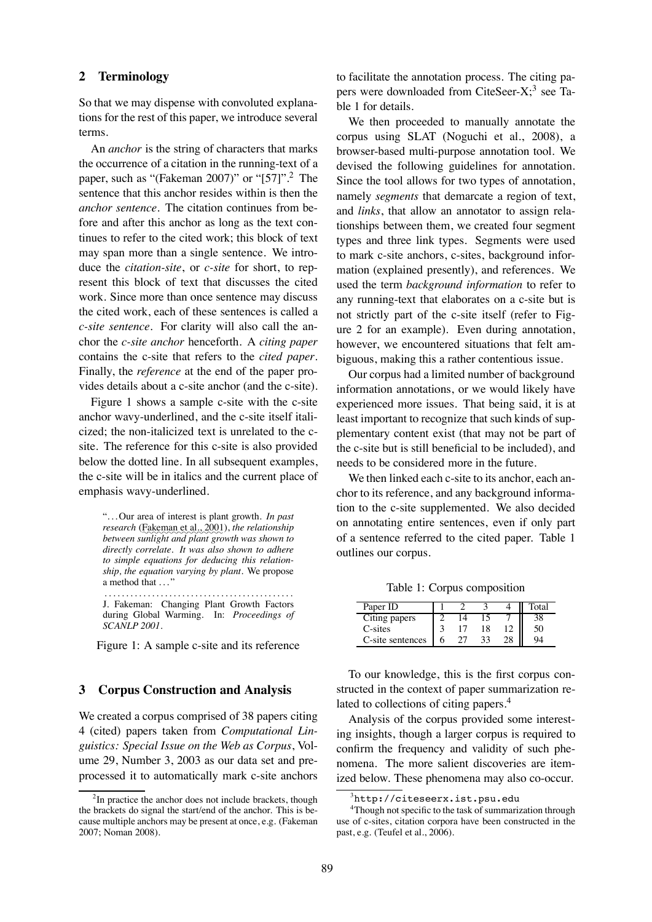## **2 Terminology**

So that we may dispense with convoluted explanations for the rest of this paper, we introduce several terms.

An *anchor* is the string of characters that marks the occurrence of a citation in the running-text of a paper, such as "(Fakeman 2007)" or "[57]".2 The sentence that this anchor resides within is then the *anchor sentence*. The citation continues from before and after this anchor as long as the text continues to refer to the cited work; this block of text may span more than a single sentence. We introduce the *citation-site*, or *c-site* for short, to represent this block of text that discusses the cited work. Since more than once sentence may discuss the cited work, each of these sentences is called a *c-site sentence*. For clarity will also call the anchor the *c-site anchor* henceforth. A *citing paper* contains the c-site that refers to the *cited paper*. Finally, the *reference* at the end of the paper provides details about a c-site anchor (and the c-site).

Figure 1 shows a sample c-site with the c-site anchor wavy-underlined, and the c-site itself italicized; the non-italicized text is unrelated to the csite. The reference for this c-site is also provided below the dotted line. In all subsequent examples, the c-site will be in italics and the current place of emphasis wavy-underlined.

". . . Our area of interest is plant growth. *In past research* (Fakeman et al., 2001), *the relationship between sunlight and plant growth was shown to directly correlate. It was also shown to adhere to simple equations for deducing this relationship, the equation varying by plant.* We propose a method that ..."

............................................ J. Fakeman: Changing Plant Growth Factors during Global Warming. In: *Proceedings of SCANLP 2001*.

Figure 1: A sample c-site and its reference

### **3 Corpus Construction and Analysis**

We created a corpus comprised of 38 papers citing 4 (cited) papers taken from *Computational Linguistics: Special Issue on the Web as Corpus*, Volume 29, Number 3, 2003 as our data set and preprocessed it to automatically mark c-site anchors to facilitate the annotation process. The citing papers were downloaded from CiteSeer-X;<sup>3</sup> see Table 1 for details.

We then proceeded to manually annotate the corpus using SLAT (Noguchi et al., 2008), a browser-based multi-purpose annotation tool. We devised the following guidelines for annotation. Since the tool allows for two types of annotation, namely *segments* that demarcate a region of text, and *links*, that allow an annotator to assign relationships between them, we created four segment types and three link types. Segments were used to mark c-site anchors, c-sites, background information (explained presently), and references. We used the term *background information* to refer to any running-text that elaborates on a c-site but is not strictly part of the c-site itself (refer to Figure 2 for an example). Even during annotation, however, we encountered situations that felt ambiguous, making this a rather contentious issue.

Our corpus had a limited number of background information annotations, or we would likely have experienced more issues. That being said, it is at least important to recognize that such kinds of supplementary content exist (that may not be part of the c-site but is still beneficial to be included), and needs to be considered more in the future.

We then linked each c-site to its anchor, each anchor to its reference, and any background information to the c-site supplemented. We also decided on annotating entire sentences, even if only part of a sentence referred to the cited paper. Table 1 outlines our corpus.

Table 1: Corpus composition

| Paper ID         |  |    | Total |
|------------------|--|----|-------|
| Citing papers    |  |    |       |
| C-sites          |  | 18 | 50    |
| C-site sentences |  |    | OЛ    |

To our knowledge, this is the first corpus constructed in the context of paper summarization related to collections of citing papers.<sup>4</sup>

Analysis of the corpus provided some interesting insights, though a larger corpus is required to confirm the frequency and validity of such phenomena. The more salient discoveries are itemized below. These phenomena may also co-occur.

<sup>&</sup>lt;sup>2</sup>In practice the anchor does not include brackets, though the brackets do signal the start/end of the anchor. This is because multiple anchors may be present at once, e.g. (Fakeman 2007; Noman 2008).

<sup>3</sup> http://citeseerx.ist.psu.edu

<sup>&</sup>lt;sup>4</sup>Though not specific to the task of summarization through use of c-sites, citation corpora have been constructed in the past, e.g. (Teufel et al., 2006).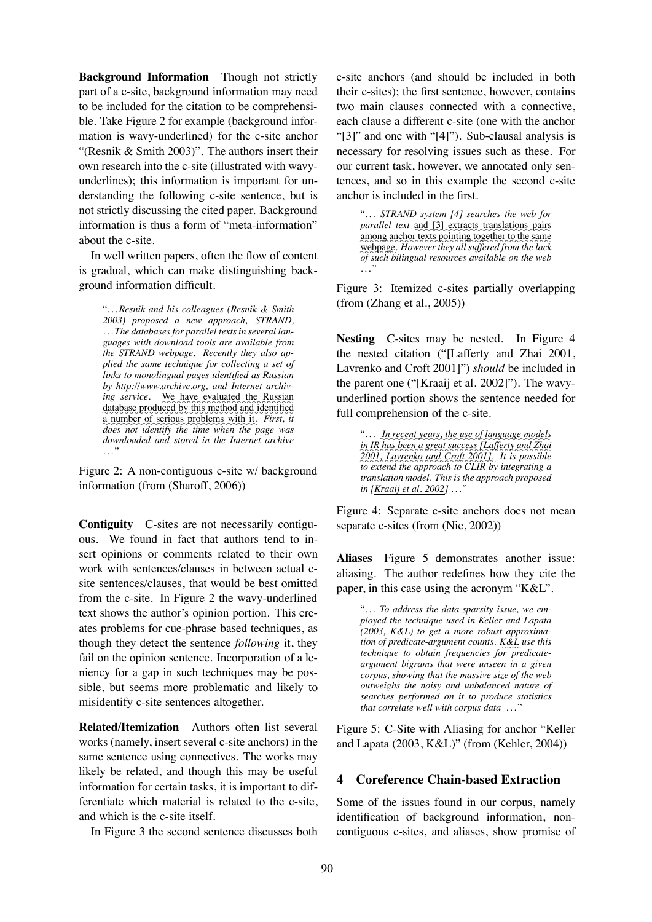**Background Information** Though not strictly part of a c-site, background information may need to be included for the citation to be comprehensible. Take Figure 2 for example (background information is wavy-underlined) for the c-site anchor "(Resnik & Smith 2003)". The authors insert their own research into the c-site (illustrated with wavyunderlines); this information is important for understanding the following c-site sentence, but is not strictly discussing the cited paper. Background information is thus a form of "meta-information" about the c-site.

In well written papers, often the flow of content is gradual, which can make distinguishing background information difficult.

". . .*Resnik and his colleagues (Resnik & Smith 2003) proposed a new approach, STRAND, . . . The databases for parallel texts in several languages with download tools are available from the STRAND webpage. Recently they also applied the same technique for collecting a set of links to monolingual pages identified as Russian by http://www.archive.org, and Internet archiv*ing service. We have evaluated the Russian database produced by this method and identified a number of serious problems with it. *First, it does not identify the time when the page was downloaded and stored in the Internet archive* ..."

Figure 2: A non-contiguous c-site w/ background information (from (Sharoff, 2006))

**Contiguity** C-sites are not necessarily contiguous. We found in fact that authors tend to insert opinions or comments related to their own work with sentences/clauses in between actual csite sentences/clauses, that would be best omitted from the c-site. In Figure 2 the wavy-underlined text shows the author's opinion portion. This creates problems for cue-phrase based techniques, as though they detect the sentence *following* it, they fail on the opinion sentence. Incorporation of a leniency for a gap in such techniques may be possible, but seems more problematic and likely to misidentify c-site sentences altogether.

**Related/Itemization** Authors often list several works (namely, insert several c-site anchors) in the same sentence using connectives. The works may likely be related, and though this may be useful information for certain tasks, it is important to differentiate which material is related to the c-site, and which is the c-site itself.

In Figure 3 the second sentence discusses both

c-site anchors (and should be included in both their c-sites); the first sentence, however, contains two main clauses connected with a connective, each clause a different c-site (one with the anchor "[3]" and one with "[4]"). Sub-clausal analysis is necessary for resolving issues such as these. For our current task, however, we annotated only sentences, and so in this example the second c-site anchor is included in the first.

> ". . . *STRAND system [4] searches the web for* parallel text and [3] extracts translations pairs among anchor texts pointing together to the same webpage. However they all suffered from the lack *of such bilingual resources available on the web* ..."

Figure 3: Itemized c-sites partially overlapping (from (Zhang et al., 2005))

**Nesting** C-sites may be nested. In Figure 4 the nested citation ("[Lafferty and Zhai 2001, Lavrenko and Croft 2001]") *should* be included in the parent one ("[Kraaij et al. 2002]"). The wavyunderlined portion shows the sentence needed for full comprehension of the c-site.

> ". . . ✿✿ *In*✿✿✿✿✿ *recent*✿✿✿✿✿ *years,*✿✿✿*the*✿✿✿*use*✿✿*of*✿✿✿✿✿✿✿✿ *language*✿✿✿✿✿✿ *models* ✿✿ *in* IR has been a great success [Lafferty and Zhai ✿✿✿✿ *2001,*✿✿✿✿✿✿✿✿ *Lavrenko*✿✿✿✿ *and*✿✿✿✿✿ *Croft*✿✿✿✿✿✿ *2001]. It is possible to extend the approach to CLIR by integrating a translation model. This is the approach proposed in [Kraaij et al. 2002]* ..."

Figure 4: Separate c-site anchors does not mean separate c-sites (from (Nie, 2002))

**Aliases** Figure 5 demonstrates another issue: aliasing. The author redefines how they cite the paper, in this case using the acronym "K&L".

". . . *To address the data-sparsity issue, we employed the technique used in Keller and Lapata (2003, K&L) to get a more robust approximation of predicate-argument counts.* K&L use this *technique to obtain frequencies for predicateargument bigrams that were unseen in a given corpus, showing that the massive size of the web outweighs the noisy and unbalanced nature of searches performed on it to produce statistics that correlate well with corpus data* ..."

Figure 5: C-Site with Aliasing for anchor "Keller and Lapata (2003, K&L)" (from (Kehler, 2004))

# **4 Coreference Chain-based Extraction**

Some of the issues found in our corpus, namely identification of background information, noncontiguous c-sites, and aliases, show promise of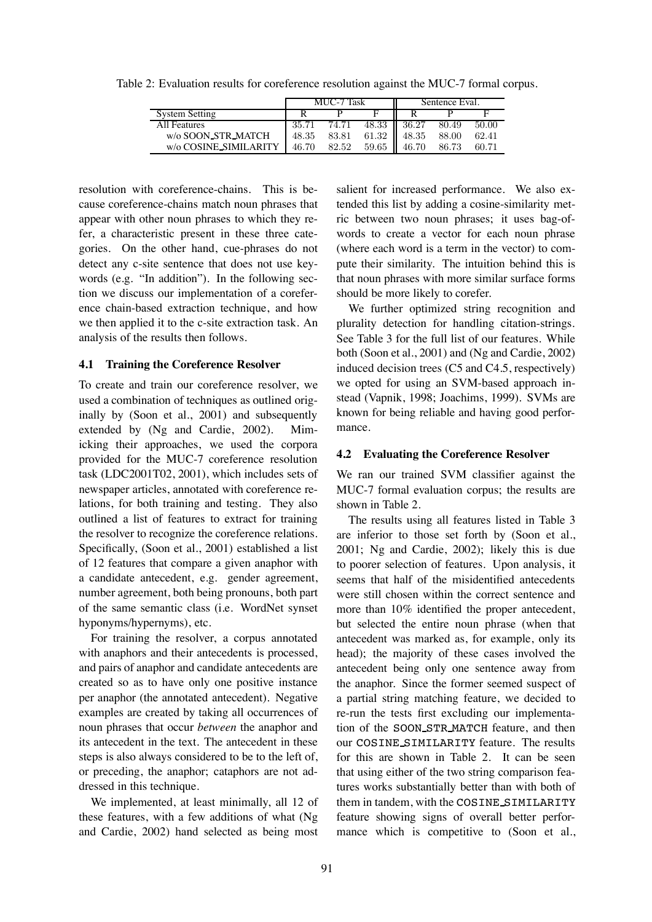|  | Table 2: Evaluation results for coreference resolution against the MUC-7 formal corpus. |  |  |  |
|--|-----------------------------------------------------------------------------------------|--|--|--|
|  |                                                                                         |  |  |  |

|                       | MUC-7 Task |       |       | Sentence Eval.    |       |       |  |
|-----------------------|------------|-------|-------|-------------------|-------|-------|--|
| System Setting        |            |       |       |                   |       |       |  |
| All Features          | 35.71      | 74.71 | 48.33 | $\parallel$ 36.27 | 80.49 | 50.00 |  |
| w/o SOON_STR_MATCH    | 48.35      | 83.81 | 61.32 | 48.35             | 88.00 | 62.41 |  |
| w/o COSINE_SIMILARITY | 46.70      | 82.52 | 59.65 | 46.70             | 86.73 | 60.71 |  |

resolution with coreference-chains. This is because coreference-chains match noun phrases that appear with other noun phrases to which they refer, a characteristic present in these three categories. On the other hand, cue-phrases do not detect any c-site sentence that does not use keywords (e.g. "In addition"). In the following section we discuss our implementation of a coreference chain-based extraction technique, and how we then applied it to the c-site extraction task. An analysis of the results then follows.

#### **4.1 Training the Coreference Resolver**

To create and train our coreference resolver, we used a combination of techniques as outlined originally by (Soon et al., 2001) and subsequently extended by (Ng and Cardie, 2002). Mimicking their approaches, we used the corpora provided for the MUC-7 coreference resolution task (LDC2001T02, 2001), which includes sets of newspaper articles, annotated with coreference relations, for both training and testing. They also outlined a list of features to extract for training the resolver to recognize the coreference relations. Specifically, (Soon et al., 2001) established a list of 12 features that compare a given anaphor with a candidate antecedent, e.g. gender agreement, number agreement, both being pronouns, both part of the same semantic class (i.e. WordNet synset hyponyms/hypernyms), etc.

For training the resolver, a corpus annotated with anaphors and their antecedents is processed, and pairs of anaphor and candidate antecedents are created so as to have only one positive instance per anaphor (the annotated antecedent). Negative examples are created by taking all occurrences of noun phrases that occur *between* the anaphor and its antecedent in the text. The antecedent in these steps is also always considered to be to the left of, or preceding, the anaphor; cataphors are not addressed in this technique.

We implemented, at least minimally, all 12 of these features, with a few additions of what (Ng and Cardie, 2002) hand selected as being most

salient for increased performance. We also extended this list by adding a cosine-similarity metric between two noun phrases; it uses bag-ofwords to create a vector for each noun phrase (where each word is a term in the vector) to compute their similarity. The intuition behind this is that noun phrases with more similar surface forms should be more likely to corefer.

We further optimized string recognition and plurality detection for handling citation-strings. See Table 3 for the full list of our features. While both (Soon et al., 2001) and (Ng and Cardie, 2002) induced decision trees (C5 and C4.5, respectively) we opted for using an SVM-based approach instead (Vapnik, 1998; Joachims, 1999). SVMs are known for being reliable and having good performance.

#### **4.2 Evaluating the Coreference Resolver**

We ran our trained SVM classifier against the MUC-7 formal evaluation corpus; the results are shown in Table 2.

The results using all features listed in Table 3 are inferior to those set forth by (Soon et al., 2001; Ng and Cardie, 2002); likely this is due to poorer selection of features. Upon analysis, it seems that half of the misidentified antecedents were still chosen within the correct sentence and more than 10% identified the proper antecedent, but selected the entire noun phrase (when that antecedent was marked as, for example, only its head); the majority of these cases involved the antecedent being only one sentence away from the anaphor. Since the former seemed suspect of a partial string matching feature, we decided to re-run the tests first excluding our implementation of the SOON STR MATCH feature, and then our COSINE SIMILARITY feature. The results for this are shown in Table 2. It can be seen that using either of the two string comparison features works substantially better than with both of them in tandem, with the COSINE SIMILARITY feature showing signs of overall better performance which is competitive to (Soon et al.,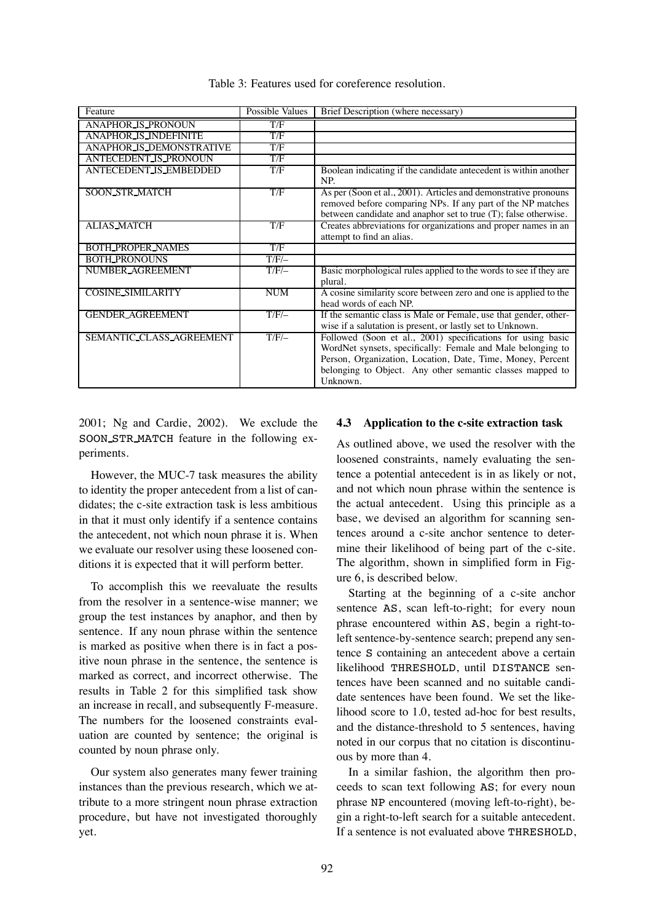| Feature                         | Possible Values | Brief Description (where necessary)                                                                                                                                                                                                                               |
|---------------------------------|-----------------|-------------------------------------------------------------------------------------------------------------------------------------------------------------------------------------------------------------------------------------------------------------------|
| <b>ANAPHOR_IS_PRONOUN</b>       | T/F             |                                                                                                                                                                                                                                                                   |
| <b>ANAPHOR IS INDEFINITE</b>    | T/F             |                                                                                                                                                                                                                                                                   |
| <b>ANAPHOR IS DEMONSTRATIVE</b> | T/F             |                                                                                                                                                                                                                                                                   |
| <b>ANTECEDENT IS PRONOUN</b>    | T/F             |                                                                                                                                                                                                                                                                   |
| <b>ANTECEDENT IS EMBEDDED</b>   | T/F             | Boolean indicating if the candidate antecedent is within another<br>NP.                                                                                                                                                                                           |
| <b>SOON STR MATCH</b>           | T/F             | As per (Soon et al., 2001). Articles and demonstrative pronouns<br>removed before comparing NPs. If any part of the NP matches<br>between candidate and anaphor set to true (T); false otherwise.                                                                 |
| <b>ALIAS_MATCH</b>              | T/F             | Creates abbreviations for organizations and proper names in an<br>attempt to find an alias.                                                                                                                                                                       |
| <b>BOTH_PROPER_NAMES</b>        | T/F             |                                                                                                                                                                                                                                                                   |
| <b>BOTH_PRONOUNS</b>            | $T/F/-$         |                                                                                                                                                                                                                                                                   |
| NUMBER_AGREEMENT                | $T/F$ /-        | Basic morphological rules applied to the words to see if they are<br>plural.                                                                                                                                                                                      |
| <b>COSINE SIMILARITY</b>        | <b>NUM</b>      | A cosine similarity score between zero and one is applied to the<br>head words of each NP.                                                                                                                                                                        |
| <b>GENDER AGREEMENT</b>         | $T/F$ /-        | If the semantic class is Male or Female, use that gender, other-<br>wise if a salutation is present, or lastly set to Unknown.                                                                                                                                    |
| SEMANTIC CLASS AGREEMENT        | $T/F$ /-        | Followed (Soon et al., 2001) specifications for using basic<br>WordNet synsets, specifically: Female and Male belonging to<br>Person, Organization, Location, Date, Time, Money, Percent<br>belonging to Object. Any other semantic classes mapped to<br>Unknown. |

Table 3: Features used for coreference resolution.

2001; Ng and Cardie, 2002). We exclude the SOON STR MATCH feature in the following experiments.

However, the MUC-7 task measures the ability to identity the proper antecedent from a list of candidates; the c-site extraction task is less ambitious in that it must only identify if a sentence contains the antecedent, not which noun phrase it is. When we evaluate our resolver using these loosened conditions it is expected that it will perform better.

To accomplish this we reevaluate the results from the resolver in a sentence-wise manner; we group the test instances by anaphor, and then by sentence. If any noun phrase within the sentence is marked as positive when there is in fact a positive noun phrase in the sentence, the sentence is marked as correct, and incorrect otherwise. The results in Table 2 for this simplified task show an increase in recall, and subsequently F-measure. The numbers for the loosened constraints evaluation are counted by sentence; the original is counted by noun phrase only.

Our system also generates many fewer training instances than the previous research, which we attribute to a more stringent noun phrase extraction procedure, but have not investigated thoroughly yet.

# **4.3 Application to the c-site extraction task**

As outlined above, we used the resolver with the loosened constraints, namely evaluating the sentence a potential antecedent is in as likely or not, and not which noun phrase within the sentence is the actual antecedent. Using this principle as a base, we devised an algorithm for scanning sentences around a c-site anchor sentence to determine their likelihood of being part of the c-site. The algorithm, shown in simplified form in Figure 6, is described below.

Starting at the beginning of a c-site anchor sentence AS, scan left-to-right; for every noun phrase encountered within AS, begin a right-toleft sentence-by-sentence search; prepend any sentence S containing an antecedent above a certain likelihood THRESHOLD, until DISTANCE sentences have been scanned and no suitable candidate sentences have been found. We set the likelihood score to 1.0, tested ad-hoc for best results, and the distance-threshold to 5 sentences, having noted in our corpus that no citation is discontinuous by more than 4.

In a similar fashion, the algorithm then proceeds to scan text following AS; for every noun phrase NP encountered (moving left-to-right), begin a right-to-left search for a suitable antecedent. If a sentence is not evaluated above THRESHOLD,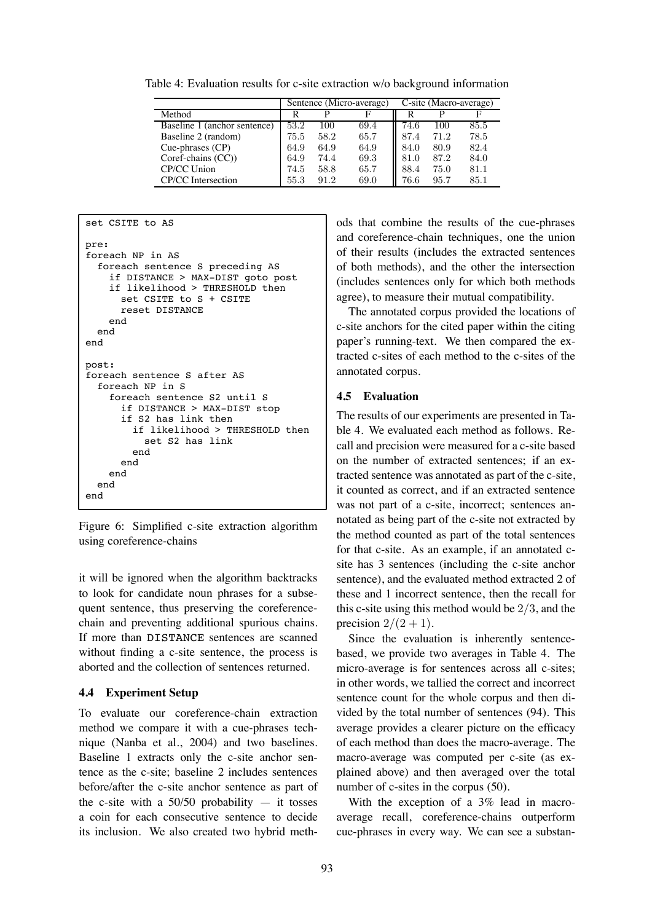Table 4: Evaluation results for c-site extraction w/o background information

|                              | Sentence (Micro-average) |      |      | C-site (Macro-average) |      |      |  |
|------------------------------|--------------------------|------|------|------------------------|------|------|--|
| Method                       | R                        |      |      |                        |      | F    |  |
| Baseline 1 (anchor sentence) | 53.2                     | 100  | 69.4 | 74.6                   | 100  | 85.5 |  |
| Baseline 2 (random)          | 75.5                     | 58.2 | 65.7 | 87.4                   | 71.2 | 78.5 |  |
| Cue-phrases (CP)             | 64.9                     | 64.9 | 64.9 | 84.0                   | 80.9 | 82.4 |  |
| Coref-chains (CC))           | 64.9                     | 74.4 | 69.3 | 81.0                   | 87.2 | 84.0 |  |
| CP/CC Union                  | 74.5                     | 58.8 | 65.7 | 88.4                   | 75.0 | 81.1 |  |
| CP/CC Intersection           | 55.3                     | 91.2 | 69.0 | 76.6                   | 95.7 | 85.1 |  |

```
set CSITE to AS
pre:
foreach NP in AS
  foreach sentence S preceding AS
    if DISTANCE > MAX-DIST goto post
    if likelihood > THRESHOLD then
      set CSITE to S + CSITE
      reset DISTANCE
    end
  end
end
post:
foreach sentence S after AS
  foreach NP in S
    foreach sentence S2 until S
      if DISTANCE > MAX-DIST stop
      if S2 has link then
        if likelihood > THRESHOLD then
          set S2 has link
        end
      end
    end
  end
end
```
Figure 6: Simplified c-site extraction algorithm using coreference-chains

it will be ignored when the algorithm backtracks to look for candidate noun phrases for a subsequent sentence, thus preserving the coreferencechain and preventing additional spurious chains. If more than DISTANCE sentences are scanned without finding a c-site sentence, the process is aborted and the collection of sentences returned.

### **4.4 Experiment Setup**

To evaluate our coreference-chain extraction method we compare it with a cue-phrases technique (Nanba et al., 2004) and two baselines. Baseline 1 extracts only the c-site anchor sentence as the c-site; baseline 2 includes sentences before/after the c-site anchor sentence as part of the c-site with a  $50/50$  probability  $-$  it tosses a coin for each consecutive sentence to decide its inclusion. We also created two hybrid meth-

ods that combine the results of the cue-phrases and coreference-chain techniques, one the union of their results (includes the extracted sentences of both methods), and the other the intersection (includes sentences only for which both methods agree), to measure their mutual compatibility.

The annotated corpus provided the locations of c-site anchors for the cited paper within the citing paper's running-text. We then compared the extracted c-sites of each method to the c-sites of the annotated corpus.

#### **4.5 Evaluation**

The results of our experiments are presented in Table 4. We evaluated each method as follows. Recall and precision were measured for a c-site based on the number of extracted sentences; if an extracted sentence was annotated as part of the c-site, it counted as correct, and if an extracted sentence was not part of a c-site, incorrect; sentences annotated as being part of the c-site not extracted by the method counted as part of the total sentences for that c-site. As an example, if an annotated csite has 3 sentences (including the c-site anchor sentence), and the evaluated method extracted 2 of these and 1 incorrect sentence, then the recall for this c-site using this method would be 2*/*3, and the precision  $2/(2 + 1)$ .

Since the evaluation is inherently sentencebased, we provide two averages in Table 4. The micro-average is for sentences across all c-sites; in other words, we tallied the correct and incorrect sentence count for the whole corpus and then divided by the total number of sentences (94). This average provides a clearer picture on the efficacy of each method than does the macro-average. The macro-average was computed per c-site (as explained above) and then averaged over the total number of c-sites in the corpus (50).

With the exception of a 3% lead in macroaverage recall, coreference-chains outperform cue-phrases in every way. We can see a substan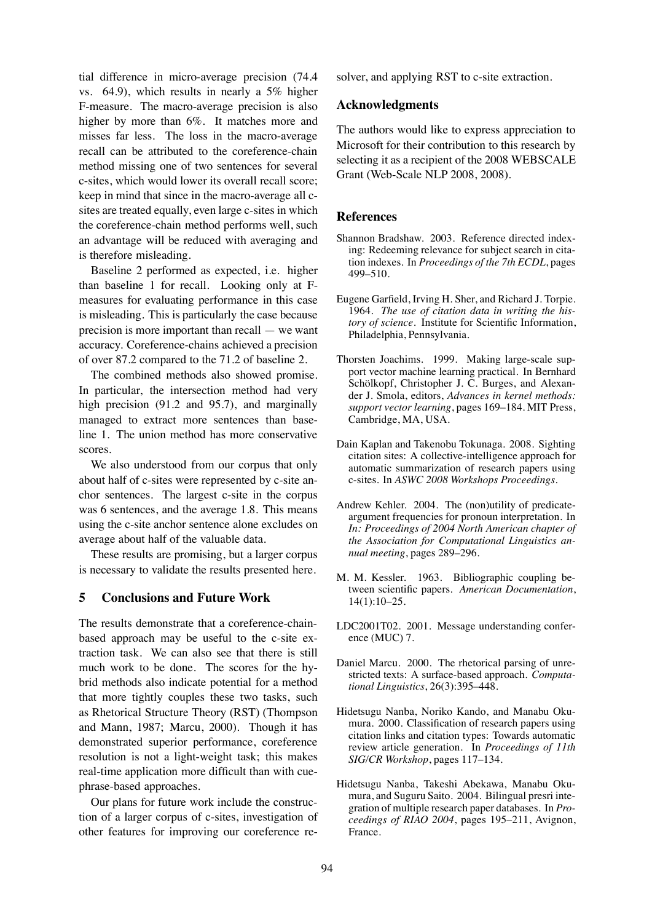tial difference in micro-average precision (74.4 vs. 64.9), which results in nearly a 5% higher F-measure. The macro-average precision is also higher by more than 6%. It matches more and misses far less. The loss in the macro-average recall can be attributed to the coreference-chain method missing one of two sentences for several c-sites, which would lower its overall recall score; keep in mind that since in the macro-average all csites are treated equally, even large c-sites in which the coreference-chain method performs well, such an advantage will be reduced with averaging and is therefore misleading.

Baseline 2 performed as expected, i.e. higher than baseline 1 for recall. Looking only at Fmeasures for evaluating performance in this case is misleading. This is particularly the case because precision is more important than recall — we want accuracy. Coreference-chains achieved a precision of over 87.2 compared to the 71.2 of baseline 2.

The combined methods also showed promise. In particular, the intersection method had very high precision (91.2 and 95.7), and marginally managed to extract more sentences than baseline 1. The union method has more conservative scores.

We also understood from our corpus that only about half of c-sites were represented by c-site anchor sentences. The largest c-site in the corpus was 6 sentences, and the average 1.8. This means using the c-site anchor sentence alone excludes on average about half of the valuable data.

These results are promising, but a larger corpus is necessary to validate the results presented here.

# **5 Conclusions and Future Work**

The results demonstrate that a coreference-chainbased approach may be useful to the c-site extraction task. We can also see that there is still much work to be done. The scores for the hybrid methods also indicate potential for a method that more tightly couples these two tasks, such as Rhetorical Structure Theory (RST) (Thompson and Mann, 1987; Marcu, 2000). Though it has demonstrated superior performance, coreference resolution is not a light-weight task; this makes real-time application more difficult than with cuephrase-based approaches.

Our plans for future work include the construction of a larger corpus of c-sites, investigation of other features for improving our coreference resolver, and applying RST to c-site extraction.

### **Acknowledgments**

The authors would like to express appreciation to Microsoft for their contribution to this research by selecting it as a recipient of the 2008 WEBSCALE Grant (Web-Scale NLP 2008, 2008).

#### **References**

- Shannon Bradshaw. 2003. Reference directed indexing: Redeeming relevance for subject search in citation indexes. In *Proceedings of the 7th ECDL*, pages 499–510.
- Eugene Garfield, Irving H. Sher, and Richard J. Torpie. 1964. *The use of citation data in writing the history of science*. Institute for Scientific Information, Philadelphia, Pennsylvania.
- Thorsten Joachims. 1999. Making large-scale support vector machine learning practical. In Bernhard Schölkopf, Christopher J. C. Burges, and Alexander J. Smola, editors, *Advances in kernel methods: support vector learning*, pages 169–184. MIT Press, Cambridge, MA, USA.
- Dain Kaplan and Takenobu Tokunaga. 2008. Sighting citation sites: A collective-intelligence approach for automatic summarization of research papers using c-sites. In *ASWC 2008 Workshops Proceedings*.
- Andrew Kehler. 2004. The (non)utility of predicateargument frequencies for pronoun interpretation. In *In: Proceedings of 2004 North American chapter of the Association for Computational Linguistics annual meeting*, pages 289–296.
- M. M. Kessler. 1963. Bibliographic coupling between scientific papers. *American Documentation*, 14(1):10–25.
- LDC2001T02. 2001. Message understanding conference (MUC) 7.
- Daniel Marcu. 2000. The rhetorical parsing of unrestricted texts: A surface-based approach. *Computational Linguistics*, 26(3):395–448.
- Hidetsugu Nanba, Noriko Kando, and Manabu Okumura. 2000. Classification of research papers using citation links and citation types: Towards automatic review article generation. In *Proceedings of 11th SIG/CR Workshop*, pages 117–134.
- Hidetsugu Nanba, Takeshi Abekawa, Manabu Okumura, and Suguru Saito. 2004. Bilingual presri integration of multiple research paper databases. In *Proceedings of RIAO 2004*, pages 195–211, Avignon, France.